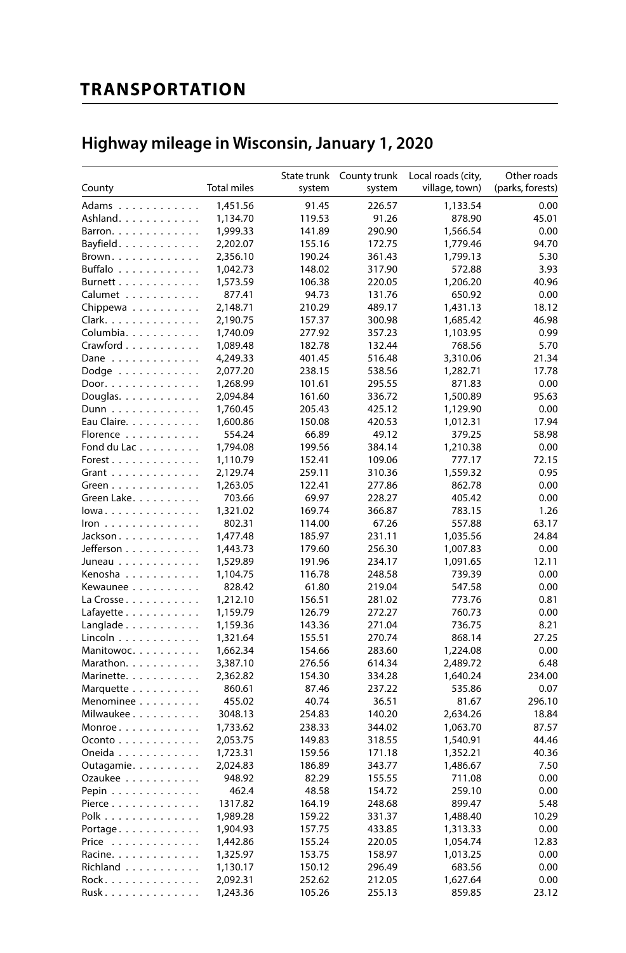# **TRANSPORTATION**

# Highway mileage in Wisconsin, January 1, 2020

|                      |                    | State trunk | County trunk | Local roads (city, | Other roads      |
|----------------------|--------------------|-------------|--------------|--------------------|------------------|
| County               | <b>Total miles</b> | system      | system       | village, town)     | (parks, forests) |
| Adams                | 1,451.56           | 91.45       | 226.57       | 1,133.54           | 0.00             |
| Ashland.             | 1,134.70           | 119.53      | 91.26        | 878.90             | 45.01            |
| Barron.              | 1,999.33           | 141.89      | 290.90       | 1,566.54           | 0.00             |
| Bayfield.            | 2,202.07           | 155.16      | 172.75       | 1,779.46           | 94.70            |
| Brown.               | 2,356.10           | 190.24      | 361.43       | 1,799.13           | 5.30             |
| Buffalo              | 1,042.73           | 148.02      | 317.90       | 572.88             | 3.93             |
| Burnett              | 1,573.59           | 106.38      | 220.05       | 1,206.20           | 40.96            |
| Calumet              | 877.41             | 94.73       | 131.76       | 650.92             | 0.00             |
| Chippewa             | 2,148.71           | 210.29      | 489.17       | 1,431.13           | 18.12            |
| Clark.               | 2,190.75           | 157.37      | 300.98       | 1,685.42           | 46.98            |
| Columbia.            | 1,740.09           | 277.92      | 357.23       | 1,103.95           | 0.99             |
| Crawford             | 1,089.48           | 182.78      | 132.44       | 768.56             | 5.70             |
| Dane                 | 4,249.33           | 401.45      | 516.48       | 3,310.06           | 21.34            |
| Dodge                | 2,077.20           | 238.15      | 538.56       | 1,282.71           | 17.78            |
| Door.                | 1,268.99           | 101.61      | 295.55       | 871.83             | 0.00             |
| Douglas.             | 2,094.84           | 161.60      | 336.72       | 1,500.89           | 95.63            |
| Dunn                 | 1,760.45           | 205.43      | 425.12       | 1,129.90           | 0.00             |
| Eau Claire.          | 1,600.86           | 150.08      | 420.53       | 1,012.31           | 17.94            |
| Florence             | 554.24             | 66.89       | 49.12        | 379.25             | 58.98            |
| Fond du Lac          | 1,794.08           | 199.56      | 384.14       | 1,210.38           | 0.00             |
| Forest.              | 1,110.79           | 152.41      | 109.06       | 777.17             | 72.15            |
|                      | 2,129.74           | 259.11      | 310.36       | 1,559.32           | 0.95             |
| Grant                | 1,263.05           | 122.41      | 277.86       |                    | 0.00             |
| Green<br>Green Lake. | 703.66             | 69.97       | 228.27       | 862.78<br>405.42   | 0.00             |
|                      | 1,321.02           | 169.74      | 366.87       | 783.15             | 1.26             |
| lowa                 |                    |             |              |                    |                  |
| Iron                 | 802.31             | 114.00      | 67.26        | 557.88             | 63.17            |
| Jackson              | 1,477.48           | 185.97      | 231.11       | 1,035.56           | 24.84            |
| Jefferson            | 1,443.73           | 179.60      | 256.30       | 1,007.83           | 0.00             |
| Juneau               | 1,529.89           | 191.96      | 234.17       | 1,091.65           | 12.11            |
| Kenosha              | 1,104.75           | 116.78      | 248.58       | 739.39             | 0.00             |
| Kewaunee             | 828.42             | 61.80       | 219.04       | 547.58             | 0.00             |
| La Crosse            | 1,212.10           | 156.51      | 281.02       | 773.76             | 0.81             |
| Lafayette            | 1,159.79           | 126.79      | 272.27       | 760.73             | 0.00             |
| Langlade             | 1,159.36           | 143.36      | 271.04       | 736.75             | 8.21             |
| Lincoln              | 1,321.64           | 155.51      | 270.74       | 868.14             | 27.25            |
| Manitowoc.           | 1,662.34           | 154.66      | 283.60       | 1,224.08           | 0.00             |
| Marathon.            | 3,387.10           | 276.56      | 614.34       | 2,489.72           | 6.48             |
| Marinette.           | 2,362.82           | 154.30      | 334.28       | 1,640.24           | 234.00           |
| Marquette            | 860.61             | 87.46       | 237.22       | 535.86             | 0.07             |
| Menominee            | 455.02             | 40.74       | 36.51        | 81.67              | 296.10           |
| Milwaukee            | 3048.13            | 254.83      | 140.20       | 2,634.26           | 18.84            |
| $Monroe$             | 1,733.62           | 238.33      | 344.02       | 1,063.70           | 87.57            |
| Oconto               | 2,053.75           | 149.83      | 318.55       | 1,540.91           | 44.46            |
| Oneida               | 1,723.31           | 159.56      | 171.18       | 1,352.21           | 40.36            |
| Outagamie.           | 2,024.83           | 186.89      | 343.77       | 1,486.67           | 7.50             |
| Ozaukee              | 948.92             | 82.29       | 155.55       | 711.08             | 0.00             |
| Pepin                | 462.4              | 48.58       | 154.72       | 259.10             | 0.00             |
| Pierce               | 1317.82            | 164.19      | 248.68       | 899.47             | 5.48             |
| Polk                 | 1,989.28           | 159.22      | 331.37       | 1,488.40           | 10.29            |
| Portage.             | 1,904.93           | 157.75      | 433.85       | 1,313.33           | 0.00             |
| Price                | 1,442.86           | 155.24      | 220.05       | 1,054.74           | 12.83            |
| Racine.              | 1,325.97           | 153.75      | 158.97       | 1,013.25           | 0.00             |
| Richland             | 1,130.17           | 150.12      | 296.49       | 683.56             | 0.00             |
| Rock.                | 2,092.31           | 252.62      | 212.05       | 1,627.64           | 0.00             |
| Rusk                 | 1.243.36           | 105.26      | 255.13       | 859.85             | 23.12            |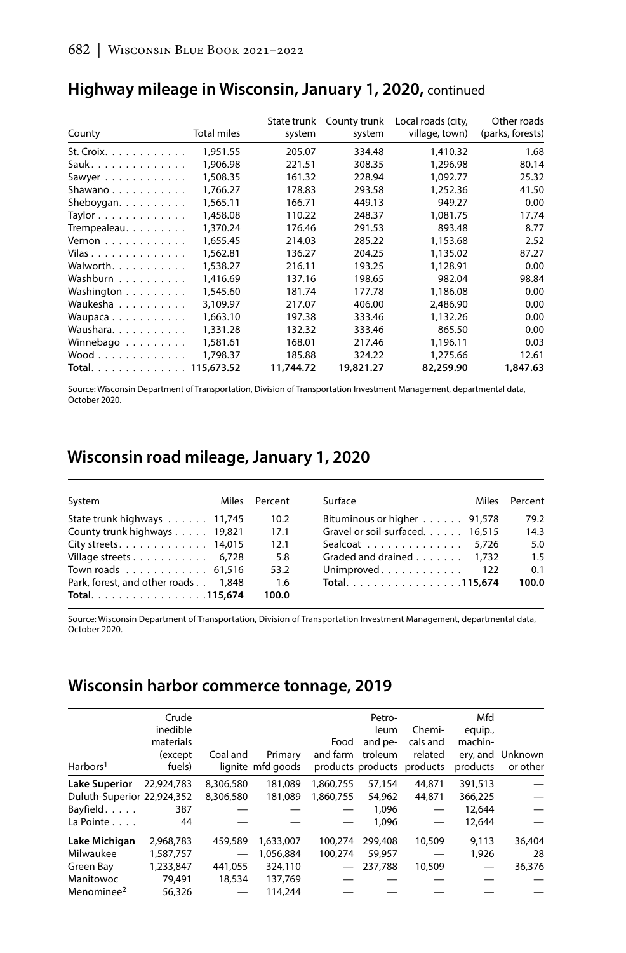| County                      | <b>Total miles</b> | State trunk<br>system | County trunk<br>system | Local roads (city,<br>village, town) | Other roads<br>(parks, forests) |
|-----------------------------|--------------------|-----------------------|------------------------|--------------------------------------|---------------------------------|
| St. Croix. $\ldots$ .       | 1,951.55           | 205.07                | 334.48                 | 1,410.32                             | 1.68                            |
| Sauk.                       | 1.906.98           | 221.51                | 308.35                 | 1.296.98                             | 80.14                           |
| Sawyer                      | 1,508.35           | 161.32                | 228.94                 | 1.092.77                             | 25.32                           |
| Shawano                     | 1.766.27           | 178.83                | 293.58                 | 1.252.36                             | 41.50                           |
| Sheboygan.                  | 1,565.11           | 166.71                | 449.13                 | 949.27                               | 0.00                            |
| Taylor                      | 1,458.08           | 110.22                | 248.37                 | 1.081.75                             | 17.74                           |
| Trempealeau.                | 1,370.24           | 176.46                | 291.53                 | 893.48                               | 8.77                            |
| Vernon                      | 1.655.45           | 214.03                | 285.22                 | 1.153.68                             | 2.52                            |
| Vilas                       | 1,562.81           | 136.27                | 204.25                 | 1.135.02                             | 87.27                           |
| Walworth.                   | 1,538.27           | 216.11                | 193.25                 | 1,128.91                             | 0.00                            |
| Washburn                    | 1,416.69           | 137.16                | 198.65                 | 982.04                               | 98.84                           |
| Washington                  | 1,545.60           | 181.74                | 177.78                 | 1,186.08                             | 0.00                            |
| Waukesha                    | 3,109.97           | 217.07                | 406.00                 | 2,486.90                             | 0.00                            |
| Waupaca                     | 1.663.10           | 197.38                | 333.46                 | 1.132.26                             | 0.00                            |
| Waushara.                   | 1,331.28           | 132.32                | 333.46                 | 865.50                               | 0.00                            |
| Winnebago                   | 1,581.61           | 168.01                | 217.46                 | 1.196.11                             | 0.03                            |
| $Wood \ldots \ldots \ldots$ | 1,798.37           | 185.88                | 324.22                 | 1,275.66                             | 12.61                           |
| Total.                      | 115,673.52         | 11,744.72             | 19,821.27              | 82,259.90                            | 1,847.63                        |

# Highway mileage in Wisconsin, January 1, 2020, continued

Source: Wisconsin Department of Transportation, Division of Transportation Investment Management, departmental data, October 2020.

## Wisconsin road mileage, January 1, 2020

| System                              | Miles Percent | Surface                                        | Miles Percent |
|-------------------------------------|---------------|------------------------------------------------|---------------|
| State trunk highways 11,745         | 10.2          | Bituminous or higher 91,578                    | 79.2          |
| County trunk highways 19,821        | 17.1          | Gravel or soil-surfaced. 16.515                | 14.3          |
| City streets. $\ldots$ . 14,015     | 12.1          | Sealcoat 5,726                                 | 5.0           |
| Village streets 6,728               | 5.8           | Graded and drained $\ldots$ , $\ldots$ , 1.732 | 1.5           |
| Town roads 61,516                   | 53.2          | Unimproved 122                                 | 0.1           |
| Park, forest, and other roads 1,848 | 1.6           | Total. 115,674                                 | 100.0         |
| Total. 115,674                      | 100.0         |                                                |               |

Source: Wisconsin Department of Transportation, Division of Transportation Investment Management, departmental data, October 2020.

# Wisconsin harbor commerce tonnage, 2019

|                            | Crude      |                          |                   |           | Petro-  |                            | Mfd      |                  |
|----------------------------|------------|--------------------------|-------------------|-----------|---------|----------------------------|----------|------------------|
|                            | inedible   |                          |                   |           | leum    | Chemi-                     | equip.,  |                  |
|                            | materials  |                          |                   | Food      | and pe- | cals and                   | machin-  |                  |
|                            | (except    | Coal and                 | Primary           | and farm  | troleum | related                    |          | erv. and Unknown |
| Harbors <sup>1</sup>       | fuels)     |                          | lignite mfd goods |           |         | products products products | products | or other         |
| <b>Lake Superior</b>       | 22.924.783 | 8,306,580                | 181.089           | 1.860.755 | 57,154  | 44.871                     | 391,513  |                  |
| Duluth-Superior 22,924,352 |            | 8.306.580                | 181.089           | 1.860.755 | 54,962  | 44.871                     | 366,225  |                  |
| Bayfield.                  | 387        |                          |                   |           | 1.096   |                            | 12,644   |                  |
| La Pointe $\ldots$ .       | 44         |                          |                   |           | 1.096   |                            | 12.644   |                  |
| Lake Michigan              | 2.968.783  | 459,589                  | 1,633,007         | 100.274   | 299.408 | 10,509                     | 9,113    | 36,404           |
| Milwaukee                  | 1,587,757  | $\overline{\phantom{0}}$ | 1.056.884         | 100.274   | 59,957  |                            | 1,926    | 28               |
| Green Bay                  | 1,233,847  | 441.055                  | 324,110           |           | 237.788 | 10,509                     |          | 36.376           |
| Manitowoc                  | 79.491     | 18,534                   | 137.769           |           |         |                            |          |                  |
| Menominee <sup>2</sup>     | 56.326     |                          | 114,244           |           |         |                            |          |                  |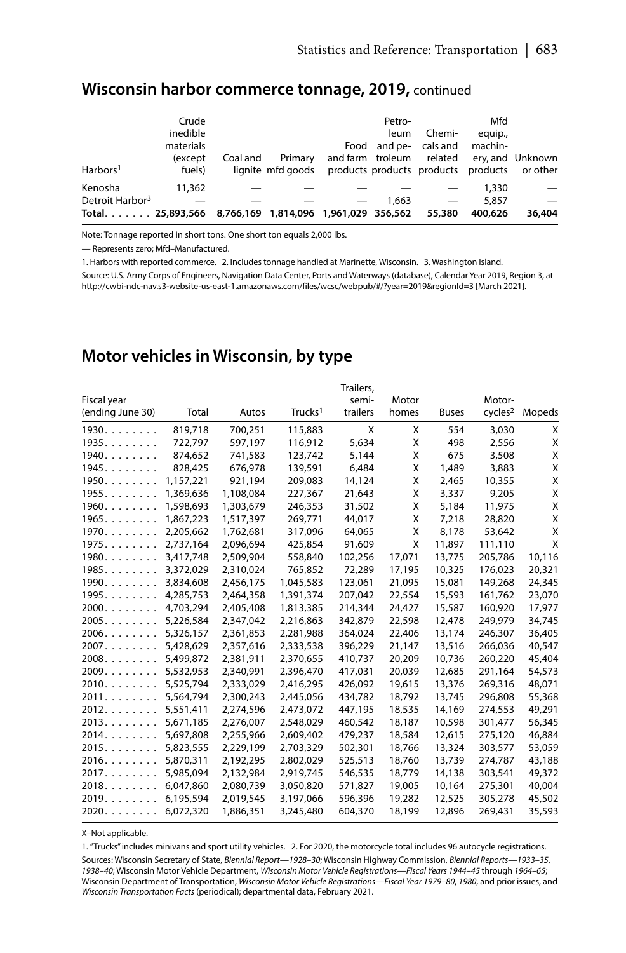|                                                        | Crude<br>inedible<br>materials |          |                              |                                              | Petro-<br>leum | Chemi-<br>Food and pe- cals and | Mfd<br>equip.,<br>machin- |                                           |
|--------------------------------------------------------|--------------------------------|----------|------------------------------|----------------------------------------------|----------------|---------------------------------|---------------------------|-------------------------------------------|
| Harbors <sup>1</sup>                                   | (except<br>fuels)              | Coal and | Primary<br>lianite mfd aoods | products products products products or other |                |                                 |                           | and farm troleum related ery, and Unknown |
| Kenosha                                                | 11,362                         |          |                              |                                              |                |                                 | 1,330                     |                                           |
| Detroit Harbor <sup>3</sup>                            |                                |          |                              |                                              | 1.663          |                                 | 5.857                     |                                           |
| Total 25,893,566 8,766,169 1,814,096 1,961,029 356,562 |                                |          |                              |                                              |                | 55,380                          | 400,626                   | 36,404                                    |

#### Wisconsin harbor commerce tonnage, 2019, continued

Note: Tonnage reported in short tons. One short ton equals 2,000 lbs.

- Represents zero; Mfd-Manufactured.

1. Harbors with reported commerce. 2. Includes tonnage handled at Marinette, Wisconsin. 3. Washington Island.

Source: U.S. Army Corps of Engineers, Navigation Data Center, Ports and Waterways (database), Calendar Year 2019, Region 3, at http://cwbi-ndc-nav.s3-website-us-east-1.amazonaws.com/files/wcsc/webpub/#/?year=2019&regionId=3 [March 2021].

# Motor vehicles in Wisconsin, by type

| Fiscal year           |           |           |                     | Trailers,<br>semi- | Motor  |              | Motor-              |        |
|-----------------------|-----------|-----------|---------------------|--------------------|--------|--------------|---------------------|--------|
| (ending June 30)      | Total     | Autos     | Trucks <sup>1</sup> | trailers           | homes  | <b>Buses</b> | cycles <sup>2</sup> | Mopeds |
| 1930.                 | 819,718   | 700,251   | 115,883             | X                  | X      | 554          | 3,030               | X      |
| 1935.                 | 722,797   | 597,197   | 116,912             | 5,634              | X      | 498          | 2,556               | X      |
| $1940. \ldots \ldots$ | 874,652   | 741,583   | 123,742             | 5,144              | X      | 675          | 3,508               | X      |
| 1945.                 | 828,425   | 676,978   | 139,591             | 6,484              | Χ      | 1,489        | 3,883               | X      |
| 1950.                 | 1,157,221 | 921,194   | 209,083             | 14,124             | X      | 2,465        | 10,355              | X      |
| 1955.                 | 1,369,636 | 1,108,084 | 227.367             | 21,643             | X      | 3,337        | 9,205               | X      |
| $1960. \ldots \ldots$ | 1,598,693 | 1,303,679 | 246,353             | 31,502             | X      | 5,184        | 11,975              | X      |
| 1965.                 | 1,867,223 | 1,517,397 | 269,771             | 44,017             | X      | 7,218        | 28,820              | Χ      |
| 1970.                 | 2,205,662 | 1,762,681 | 317,096             | 64,065             | Χ      | 8,178        | 53,642              | Χ      |
| 1975.                 | 2,737,164 | 2,096,694 | 425,854             | 91,609             | X      | 11,897       | 111,110             | X      |
| $1980. \ldots \ldots$ | 3,417,748 | 2,509,904 | 558,840             | 102,256            | 17,071 | 13,775       | 205,786             | 10,116 |
| 1985.                 | 3,372,029 | 2,310,024 | 765,852             | 72,289             | 17,195 | 10,325       | 176,023             | 20,321 |
| 1990.                 | 3,834,608 | 2,456,175 | 1,045,583           | 123,061            | 21,095 | 15,081       | 149,268             | 24,345 |
| 1995.                 | 4,285,753 | 2,464,358 | 1,391,374           | 207,042            | 22,554 | 15,593       | 161,762             | 23,070 |
| 2000.                 | 4,703,294 | 2,405,408 | 1,813,385           | 214,344            | 24,427 | 15,587       | 160,920             | 17,977 |
| 2005.                 | 5,226,584 | 2,347,042 | 2,216,863           | 342,879            | 22,598 | 12,478       | 249,979             | 34,745 |
| 2006.                 | 5,326,157 | 2,361,853 | 2,281,988           | 364,024            | 22,406 | 13,174       | 246,307             | 36,405 |
| 2007.                 | 5,428,629 | 2,357,616 | 2,333,538           | 396,229            | 21,147 | 13,516       | 266.036             | 40,547 |
| 2008.                 | 5,499,872 | 2,381,911 | 2,370,655           | 410,737            | 20,209 | 10,736       | 260,220             | 45,404 |
| 2009.                 | 5,532,953 | 2,340,991 | 2,396,470           | 417,031            | 20,039 | 12,685       | 291,164             | 54,573 |
| 2010.                 | 5,525,794 | 2,333,029 | 2,416,295           | 426,092            | 19,615 | 13,376       | 269,316             | 48,071 |
| 2011.                 | 5,564,794 | 2,300,243 | 2,445,056           | 434,782            | 18,792 | 13,745       | 296,808             | 55,368 |
| 2012.                 | 5,551,411 | 2,274,596 | 2,473,072           | 447,195            | 18,535 | 14,169       | 274,553             | 49,291 |
| 2013                  | 5,671,185 | 2,276,007 | 2,548,029           | 460,542            | 18,187 | 10,598       | 301,477             | 56,345 |
| 2014.                 | 5,697,808 | 2,255,966 | 2,609,402           | 479,237            | 18,584 | 12,615       | 275,120             | 46,884 |
| 2015.                 | 5,823,555 | 2,229,199 | 2,703,329           | 502,301            | 18,766 | 13,324       | 303,577             | 53,059 |
| 2016.                 | 5,870,311 | 2,192,295 | 2,802,029           | 525,513            | 18,760 | 13,739       | 274,787             | 43,188 |
| 2017.                 | 5,985,094 | 2,132,984 | 2,919,745           | 546,535            | 18,779 | 14,138       | 303,541             | 49,372 |
| $2018. \ldots \ldots$ | 6,047,860 | 2,080,739 | 3,050,820           | 571,827            | 19,005 | 10,164       | 275,301             | 40,004 |
| 2019.                 | 6,195,594 | 2,019,545 | 3,197,066           | 596,396            | 19,282 | 12,525       | 305,278             | 45,502 |
| 2020.                 | 6,072,320 | 1,886,351 | 3,245,480           | 604,370            | 18,199 | 12.896       | 269.431             | 35,593 |

X-Not applicable.

1. "Trucks" includes minivans and sport utility vehicles. 2. For 2020, the motorcycle total includes 96 autocycle registrations. Sources: Wisconsin Secretary of State, Biennial Report-1928-30; Wisconsin Highway Commission, Biennial Reports-1933-35, 1938-40; Wisconsin Motor Vehicle Department, Wisconsin Motor Vehicle Registrations-Fiscal Years 1944-45 through 1964-65; Wisconsin Department of Transportation, Wisconsin Motor Vehicle Registrations-Fiscal Year 1979-80, 1980, and prior issues, and Wisconsin Transportation Facts (periodical); departmental data, February 2021.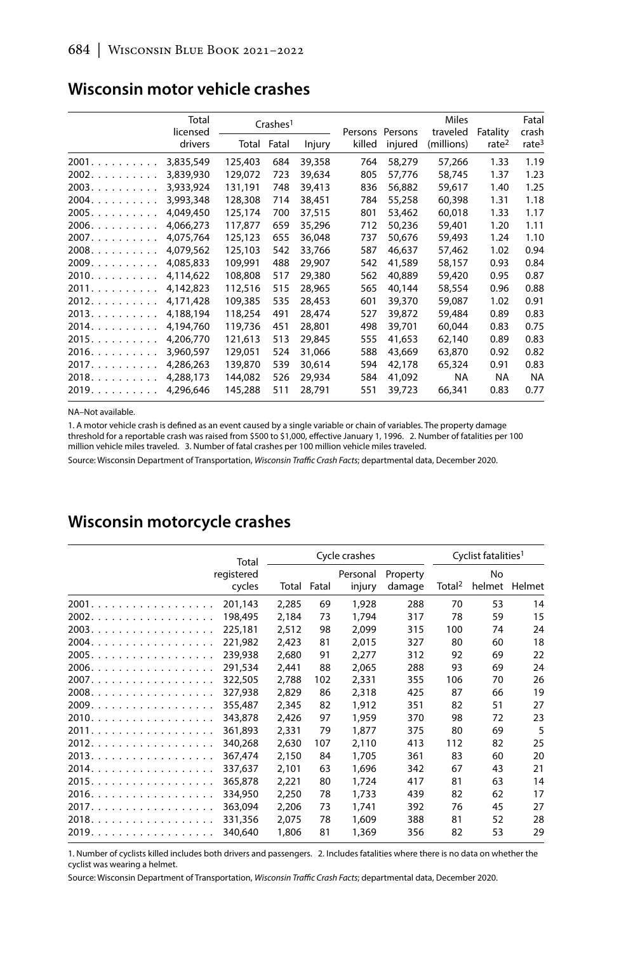|       | Total<br>licensed |         | Crashes <sup>1</sup> |        |        | Persons Persons | <b>Miles</b><br>traveled | Fatality          | Fatal<br>crash    |
|-------|-------------------|---------|----------------------|--------|--------|-----------------|--------------------------|-------------------|-------------------|
|       | drivers           | Total   | Fatal                | Injury | killed | injured         | (millions)               | rate <sup>2</sup> | rate <sup>3</sup> |
| 2001. | 3,835,549         | 125,403 | 684                  | 39,358 | 764    | 58,279          | 57,266                   | 1.33              | 1.19              |
| 2002. | 3,839,930         | 129,072 | 723                  | 39,634 | 805    | 57,776          | 58,745                   | 1.37              | 1.23              |
| 2003. | 3.933.924         | 131,191 | 748                  | 39,413 | 836    | 56.882          | 59.617                   | 1.40              | 1.25              |
| 2004. | 3,993,348         | 128,308 | 714                  | 38,451 | 784    | 55,258          | 60,398                   | 1.31              | 1.18              |
| 2005. | 4.049.450         | 125,174 | 700                  | 37.515 | 801    | 53,462          | 60.018                   | 1.33              | 1.17              |
| 2006. | 4.066.273         | 117,877 | 659                  | 35,296 | 712    | 50.236          | 59,401                   | 1.20              | 1.11              |
| 2007. | 4,075,764         | 125,123 | 655                  | 36,048 | 737    | 50,676          | 59,493                   | 1.24              | 1.10              |
| 2008. | 4.079.562         | 125,103 | 542                  | 33,766 | 587    | 46.637          | 57.462                   | 1.02              | 0.94              |
| 2009. | 4,085,833         | 109,991 | 488                  | 29,907 | 542    | 41,589          | 58,157                   | 0.93              | 0.84              |
| 2010. | 4.114.622         | 108,808 | 517                  | 29,380 | 562    | 40.889          | 59,420                   | 0.95              | 0.87              |
| 2011. | 4,142,823         | 112,516 | 515                  | 28,965 | 565    | 40,144          | 58,554                   | 0.96              | 0.88              |
| 2012. | 4,171,428         | 109,385 | 535                  | 28,453 | 601    | 39,370          | 59,087                   | 1.02              | 0.91              |
| 2013. | 4,188,194         | 118,254 | 491                  | 28,474 | 527    | 39,872          | 59,484                   | 0.89              | 0.83              |
| 2014. | 4.194.760         | 119,736 | 451                  | 28,801 | 498    | 39.701          | 60,044                   | 0.83              | 0.75              |
| 2015. | 4,206,770         | 121,613 | 513                  | 29,845 | 555    | 41,653          | 62,140                   | 0.89              | 0.83              |
| 2016. | 3,960,597         | 129,051 | 524                  | 31.066 | 588    | 43.669          | 63,870                   | 0.92              | 0.82              |
| 2017. | 4,286,263         | 139,870 | 539                  | 30,614 | 594    | 42,178          | 65,324                   | 0.91              | 0.83              |
| 2018. | 4,288,173         | 144.082 | 526                  | 29.934 | 584    | 41.092          | NA                       | NA                | <b>NA</b>         |
| 2019. | 4,296,646         | 145,288 | 511                  | 28,791 | 551    | 39,723          | 66,341                   | 0.83              | 0.77              |

#### Wisconsin motor vehicle crashes

NA-Not available.

1. A motor vehicle crash is defined as an event caused by a single variable or chain of variables. The property damage threshold for a reportable crash was raised from \$500 to \$1,000, effective January 1, 1996. 2. Number of fatalities per 100 million vehicle miles traveled. 3. Number of fatal crashes per 100 million vehicle miles traveled.

Source: Wisconsin Department of Transportation, Wisconsin Traffic Crash Facts; departmental data, December 2020.

# Wisconsin motorcycle crashes

|       | Total                |       |             | Cycle crashes      |                    |                    | Cyclist fatalities <sup>1</sup> |        |
|-------|----------------------|-------|-------------|--------------------|--------------------|--------------------|---------------------------------|--------|
|       | registered<br>cycles |       | Total Fatal | Personal<br>injury | Property<br>damage | Total <sup>2</sup> | No<br>helmet                    | Helmet |
| 2001. | 201.143              | 2,285 | 69          | 1,928              | 288                | 70                 | 53                              | 14     |
| 2002. | 198,495              | 2,184 | 73          | 1.794              | 317                | 78                 | 59                              | 15     |
| 2003. | 225,181              | 2,512 | 98          | 2,099              | 315                | 100                | 74                              | 24     |
| 2004. | 221.982              | 2.423 | 81          | 2.015              | 327                | 80                 | 60                              | 18     |
| 2005. | 239,938              | 2,680 | 91          | 2,277              | 312                | 92                 | 69                              | 22     |
| 2006. | 291.534              | 2.441 | 88          | 2,065              | 288                | 93                 | 69                              | 24     |
|       | 322,505              | 2,788 | 102         | 2,331              | 355                | 106                | 70                              | 26     |
| 2008. | 327,938              | 2,829 | 86          | 2,318              | 425                | 87                 | 66                              | 19     |
| 2009. | 355,487              | 2,345 | 82          | 1.912              | 351                | 82                 | 51                              | 27     |
| 2010. | 343,878              | 2,426 | 97          | 1,959              | 370                | 98                 | 72                              | 23     |
| 2011. | 361.893              | 2,331 | 79          | 1.877              | 375                | 80                 | 69                              | 5      |
| 2012. | 340,268              | 2,630 | 107         | 2,110              | 413                | 112                | 82                              | 25     |
| 2013. | 367,474              | 2,150 | 84          | 1,705              | 361                | 83                 | 60                              | 20     |
| 2014. | 337,637              | 2,101 | 63          | 1,696              | 342                | 67                 | 43                              | 21     |
| 2015. | 365,878              | 2,221 | 80          | 1,724              | 417                | 81                 | 63                              | 14     |
| 2016. | 334,950              | 2,250 | 78          | 1.733              | 439                | 82                 | 62                              | 17     |
| 2017. | 363,094              | 2,206 | 73          | 1,741              | 392                | 76                 | 45                              | 27     |
| 2018. | 331,356              | 2,075 | 78          | 1,609              | 388                | 81                 | 52                              | 28     |
| 2019. | 340,640              | 1,806 | 81          | 1,369              | 356                | 82                 | 53                              | 29     |

1. Number of cyclists killed includes both drivers and passengers. 2. Includes fatalities where there is no data on whether the cyclist was wearing a helmet.

Source: Wisconsin Department of Transportation, Wisconsin Traffic Crash Facts; departmental data, December 2020.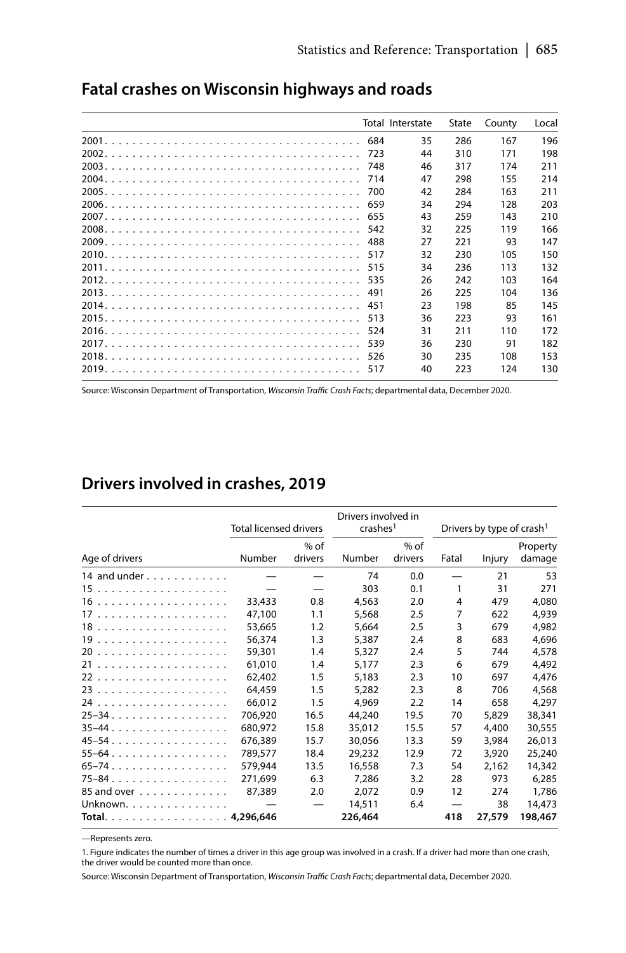|     | Total Interstate | State | County | Local |
|-----|------------------|-------|--------|-------|
| 684 | 35               | 286   | 167    | 196   |
| 723 | 44               | 310   | 171    | 198   |
| 748 | 46               | 317   | 174    | 211   |
| 714 | 47               | 298   | 155    | 214   |
| 700 | 42               | 284   | 163    | 211   |
| 659 | 34               | 294   | 128    | 203   |
| 655 | 43               | 259   | 143    | 210   |
| 542 | 32               | 225   | 119    | 166   |
| 488 | 27               | 221   | 93     | 147   |
| 517 | 32               | 230   | 105    | 150   |
| 515 | 34               | 236   | 113    | 132   |
| 535 | 26               | 242   | 103    | 164   |
| 491 | 26               | 225   | 104    | 136   |
| 451 | 23               | 198   | 85     | 145   |
| 513 | 36               | 223   | 93     | 161   |
| 524 | 31               | 211   | 110    | 172   |
| 539 | 36               | 230   | 91     | 182   |
| 526 | 30               | 235   | 108    | 153   |
| 517 | 40               | 223   | 124    | 130   |

### Fatal crashes on Wisconsin highways and roads

Source: Wisconsin Department of Transportation, Wisconsin Traffic Crash Facts; departmental data, December 2020.

## Drivers involved in crashes, 2019

|                                     | <b>Total licensed drivers</b> |                   | Drivers involved in<br>crashes <sup>1</sup> |                   |                                 | Drivers by type of crash <sup>1</sup> |                    |
|-------------------------------------|-------------------------------|-------------------|---------------------------------------------|-------------------|---------------------------------|---------------------------------------|--------------------|
| Age of drivers                      | Number                        | $%$ of<br>drivers | Number                                      | $%$ of<br>drivers | Fatal                           | Injury                                | Property<br>damage |
| 14 and under $\ldots \ldots \ldots$ |                               |                   | 74                                          | 0.0               |                                 | 21                                    | 53                 |
|                                     |                               |                   | 303                                         | 0.1               | 1                               | 31                                    | 271                |
|                                     | 33,433                        | 0.8               | 4,563                                       | 2.0               | 4                               | 479                                   | 4,080              |
|                                     | 47.100                        | 1.1               | 5,568                                       | 2.5               | 7                               | 622                                   | 4,939              |
|                                     | 53.665                        | 1.2               | 5.664                                       | 2.5               | 3                               | 679                                   | 4.982              |
|                                     | 56.374                        | 1.3               | 5.387                                       | 2.4               | 8                               | 683                                   | 4,696              |
|                                     | 59,301                        | 1.4               | 5,327                                       | 2.4               | 5                               | 744                                   | 4,578              |
|                                     | 61,010                        | 1.4               | 5,177                                       | 2.3               | 6                               | 679                                   | 4,492              |
|                                     | 62,402                        | 1.5               | 5,183                                       | 2.3               | 10                              | 697                                   | 4,476              |
|                                     | 64,459                        | 1.5               | 5.282                                       | 2.3               | 8                               | 706                                   | 4,568              |
|                                     | 66,012                        | 1.5               | 4,969                                       | 2.2               | 14                              | 658                                   | 4,297              |
| 25-34                               | 706.920                       | 16.5              | 44,240                                      | 19.5              | 70                              | 5,829                                 | 38,341             |
| $35-44$                             | 680,972                       | 15.8              | 35,012                                      | 15.5              | 57                              | 4,400                                 | 30,555             |
| 45–54.                              | 676.389                       | 15.7              | 30.056                                      | 13.3              | 59                              | 3,984                                 | 26,013             |
| $55 - 64$                           | 789.577                       | 18.4              | 29.232                                      | 12.9              | 72                              | 3,920                                 | 25,240             |
| 65-74.                              | 579.944                       | 13.5              | 16,558                                      | 7.3               | 54                              | 2,162                                 | 14,342             |
| 75-84.                              | 271,699                       | 6.3               | 7,286                                       | 3.2               | 28                              | 973                                   | 6,285              |
| 85 and over                         | 87,389                        | 2.0               | 2,072                                       | 0.9               | 12                              | 274                                   | 1,786              |
| Unknown.                            |                               |                   | 14,511                                      | 6.4               | $\hspace{0.1mm}-\hspace{0.1mm}$ | 38                                    | 14,473             |
| Total. 4,296,646                    |                               |                   | 226,464                                     |                   | 418                             | 27,579                                | 198,467            |

-Represents zero.

1. Figure indicates the number of times a driver in this age group was involved in a crash. If a driver had more than one crash, the driver would be counted more than once.

Source: Wisconsin Department of Transportation, Wisconsin Traffic Crash Facts; departmental data, December 2020.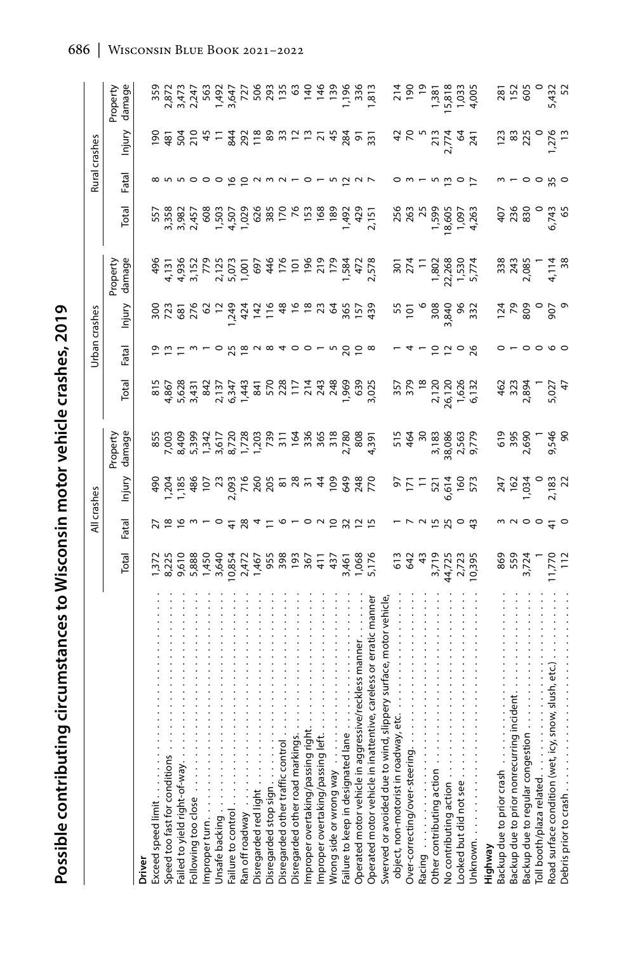|                                                                        |                                    |                       | All crashes                  |                                                  |                                                |                                   | <b>Jrban</b> crashes                   |                                                                                  |                                                              |                                 | Rural crashes                                                                                                                   |                                                                             |
|------------------------------------------------------------------------|------------------------------------|-----------------------|------------------------------|--------------------------------------------------|------------------------------------------------|-----------------------------------|----------------------------------------|----------------------------------------------------------------------------------|--------------------------------------------------------------|---------------------------------|---------------------------------------------------------------------------------------------------------------------------------|-----------------------------------------------------------------------------|
|                                                                        | Total                              | Fatal                 | lnjury                       | damage<br>Property                               | Total                                          | Fatal                             | Injury                                 | damage<br>Property                                                               | Total                                                        | Fatal                           | Injury                                                                                                                          | damage<br>Property                                                          |
| <b>Driver</b>                                                          |                                    |                       |                              |                                                  |                                                |                                   |                                        |                                                                                  |                                                              |                                 |                                                                                                                                 |                                                                             |
| Exceed speed limit                                                     |                                    |                       |                              |                                                  |                                                |                                   |                                        |                                                                                  |                                                              |                                 |                                                                                                                                 |                                                                             |
| Speed too fast for conditions                                          |                                    |                       |                              |                                                  |                                                |                                   |                                        |                                                                                  |                                                              |                                 |                                                                                                                                 |                                                                             |
| Failed to yield right-of-way.                                          |                                    |                       |                              |                                                  |                                                |                                   |                                        |                                                                                  |                                                              |                                 |                                                                                                                                 |                                                                             |
| Following too close                                                    |                                    |                       |                              |                                                  |                                                |                                   |                                        |                                                                                  |                                                              |                                 |                                                                                                                                 |                                                                             |
| Improper turn                                                          |                                    |                       |                              |                                                  |                                                |                                   |                                        |                                                                                  |                                                              |                                 |                                                                                                                                 |                                                                             |
| Unsafe backing                                                         |                                    |                       |                              |                                                  |                                                |                                   |                                        |                                                                                  |                                                              |                                 |                                                                                                                                 |                                                                             |
| Failure to control                                                     |                                    | $-5.8$                |                              |                                                  |                                                | r = w - o b w w a 4 o o - w b 5 w |                                        |                                                                                  | n 38878<br>288878887888882888888887<br>288878889788882882888 | ∞ n n o o o o o o o n m n -     |                                                                                                                                 |                                                                             |
| Ran off roadway                                                        |                                    |                       |                              |                                                  |                                                |                                   |                                        |                                                                                  |                                                              |                                 |                                                                                                                                 |                                                                             |
| Disregarded red light                                                  |                                    |                       |                              |                                                  |                                                |                                   |                                        |                                                                                  |                                                              |                                 |                                                                                                                                 |                                                                             |
| Disregarded stop sign                                                  |                                    | $a \succeq a \subset$ |                              |                                                  |                                                |                                   |                                        |                                                                                  |                                                              |                                 |                                                                                                                                 |                                                                             |
| Disregarded other traffic control                                      |                                    |                       |                              |                                                  |                                                |                                   |                                        |                                                                                  |                                                              |                                 |                                                                                                                                 |                                                                             |
| kings.<br>Disregarded other road mar                                   | $\frac{6}{2}$                      |                       |                              |                                                  |                                                |                                   |                                        |                                                                                  |                                                              |                                 |                                                                                                                                 |                                                                             |
| Improper overtaking/passing right.                                     | 367                                |                       |                              |                                                  |                                                |                                   |                                        |                                                                                  |                                                              | $\circ$ $\sim$                  |                                                                                                                                 |                                                                             |
| Improper overtaking/passing left.                                      | $\frac{1}{4}$                      |                       |                              |                                                  |                                                |                                   |                                        |                                                                                  |                                                              |                                 |                                                                                                                                 |                                                                             |
| Wrong side or wrong way                                                |                                    |                       |                              |                                                  |                                                |                                   |                                        |                                                                                  |                                                              |                                 |                                                                                                                                 |                                                                             |
| Failure to keep in designated lane                                     |                                    | 5925                  |                              |                                                  |                                                |                                   |                                        |                                                                                  |                                                              |                                 |                                                                                                                                 |                                                                             |
| Operated motor vehicle in aggressive/reck                              |                                    |                       |                              |                                                  |                                                |                                   |                                        |                                                                                  |                                                              |                                 |                                                                                                                                 |                                                                             |
| nattentive, careless or erratic manner<br>Operated motor vehicle in ir | $43,461$<br>$7,068$<br>$5,176$     |                       |                              |                                                  |                                                |                                   |                                        |                                                                                  |                                                              |                                 |                                                                                                                                 |                                                                             |
| Swerved or avoided due to wind, slippery surface, motor vehicle,       |                                    |                       |                              |                                                  |                                                |                                   |                                        |                                                                                  |                                                              |                                 |                                                                                                                                 |                                                                             |
| eť.<br>dway,<br>object, non-motorist in roa                            | 613<br>642                         |                       |                              |                                                  |                                                |                                   |                                        |                                                                                  |                                                              |                                 |                                                                                                                                 |                                                                             |
| Over-correcting/over-steerin                                           |                                    |                       |                              |                                                  |                                                |                                   |                                        |                                                                                  |                                                              |                                 |                                                                                                                                 |                                                                             |
| Racing                                                                 | $\ddot{4}$                         |                       |                              |                                                  |                                                |                                   |                                        |                                                                                  |                                                              |                                 |                                                                                                                                 |                                                                             |
| Other contributing action.                                             |                                    |                       |                              |                                                  |                                                |                                   |                                        |                                                                                  |                                                              |                                 |                                                                                                                                 |                                                                             |
| No contributing action                                                 | 3,719<br>44,725<br>2,723<br>10,395 |                       | នគ្នា គ្នា<br>ស្ថិត<br>ស្ថិត | 515<br>464<br>30.086<br>30.086<br>2,779<br>9,779 | 357<br>378 - 378<br>26,120<br>5,132<br>6,132   | 2208                              | 2010 10:00<br>2010 10:00<br>2010 10:00 | $\begin{array}{r} 301 \\ 274 \\ 1.802 \\ 1.530 \\ 1.530 \\ 5.774 \\ \end{array}$ | 25022365<br>260225<br>260225                                 | $\overline{w}$ o $\overline{r}$ |                                                                                                                                 | $714$<br>$196$<br>$130$<br>$130$<br>$130$<br>$130$<br>$14$<br>$150$<br>$15$ |
| Looked but did not see                                                 |                                    |                       |                              |                                                  |                                                |                                   |                                        |                                                                                  |                                                              |                                 |                                                                                                                                 |                                                                             |
|                                                                        |                                    |                       |                              |                                                  |                                                |                                   |                                        |                                                                                  |                                                              |                                 |                                                                                                                                 |                                                                             |
| Highway                                                                |                                    |                       |                              |                                                  |                                                |                                   |                                        |                                                                                  |                                                              |                                 |                                                                                                                                 |                                                                             |
| Backup due to prior crash.                                             |                                    |                       |                              |                                                  |                                                |                                   |                                        |                                                                                  |                                                              |                                 |                                                                                                                                 |                                                                             |
| incident<br>Backup due to prior nonrecurring                           | 869<br>552<br>3,72                 |                       |                              |                                                  |                                                |                                   |                                        |                                                                                  |                                                              |                                 |                                                                                                                                 |                                                                             |
| Backup due to regular congestion                                       |                                    |                       |                              |                                                  |                                                |                                   |                                        |                                                                                  |                                                              |                                 |                                                                                                                                 |                                                                             |
| Toll booth/plaza related                                               |                                    |                       |                              |                                                  |                                                |                                   |                                        |                                                                                  |                                                              |                                 |                                                                                                                                 |                                                                             |
| icy, snow, slush, etc.)<br>Road surface condition (wet,                | 1,770                              | 0.0040                | 247<br>1975 – 252<br>2722    | 019<br>5586<br>705<br>9586                       | $462$<br>$7,894$<br>$7,027$<br>$5,027$<br>$47$ | $\circ \circ \circ \circ$         | <u>참</u> 있음 이 있다<br>같은 없으 없            |                                                                                  | ទី<br>មីងនេះ មី<br>ភូមិ មី                                   | $\circ$ $\circ$ $\%$ $\circ$    | 1382 - 15<br>1585 - 1595<br>1595 - 1595 - 1595 - 1595 - 1595 - 1595 - 1595 - 1595 - 1595 - 1595 - 1595 - 1595 - 1595 - 1595 - 1 |                                                                             |
| Debris prior to crash                                                  |                                    |                       |                              |                                                  |                                                |                                   |                                        |                                                                                  |                                                              |                                 |                                                                                                                                 |                                                                             |

Possible contributing circumstances to Wisconsin motor vehicle crashes, 2019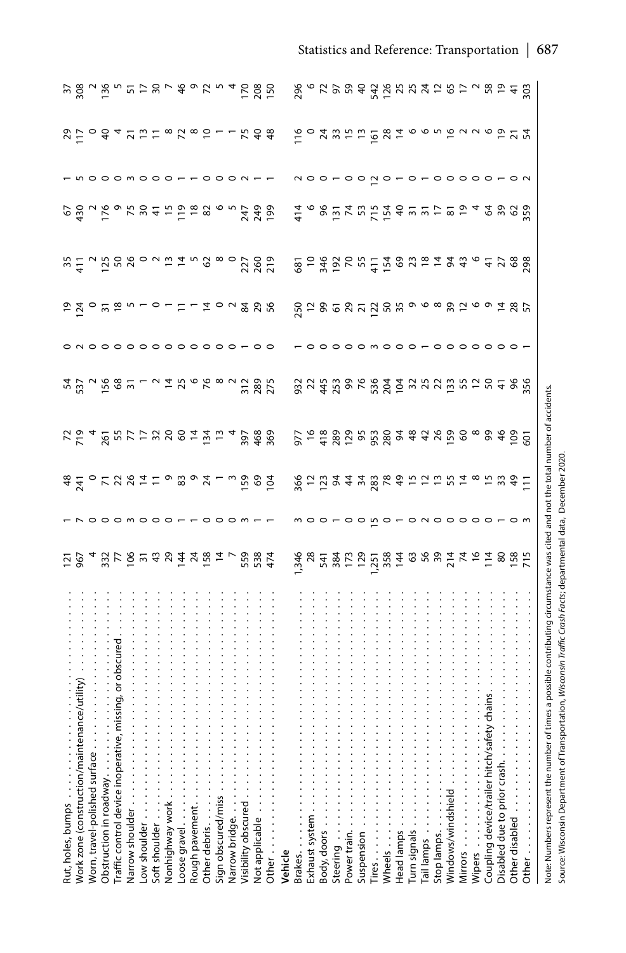| Rut, holes, bumps                                                                                                                                                                                                                                             |                                                                    |                                                 |                                                                                                                                                                                                                                                                                                                                                                                                                                    |                                     |                        |                 |                            |                                                                                                                                                                                                                                                                                                                                                                                                                                                                                                                                                             |                              |                                            |                                         |
|---------------------------------------------------------------------------------------------------------------------------------------------------------------------------------------------------------------------------------------------------------------|--------------------------------------------------------------------|-------------------------------------------------|------------------------------------------------------------------------------------------------------------------------------------------------------------------------------------------------------------------------------------------------------------------------------------------------------------------------------------------------------------------------------------------------------------------------------------|-------------------------------------|------------------------|-----------------|----------------------------|-------------------------------------------------------------------------------------------------------------------------------------------------------------------------------------------------------------------------------------------------------------------------------------------------------------------------------------------------------------------------------------------------------------------------------------------------------------------------------------------------------------------------------------------------------------|------------------------------|--------------------------------------------|-----------------------------------------|
| ntenance/utility)<br>Work zone (construction/mai                                                                                                                                                                                                              |                                                                    |                                                 |                                                                                                                                                                                                                                                                                                                                                                                                                                    |                                     |                        |                 |                            |                                                                                                                                                                                                                                                                                                                                                                                                                                                                                                                                                             |                              |                                            |                                         |
| Worn, travel-polished surface                                                                                                                                                                                                                                 |                                                                    |                                                 |                                                                                                                                                                                                                                                                                                                                                                                                                                    |                                     |                        |                 |                            |                                                                                                                                                                                                                                                                                                                                                                                                                                                                                                                                                             |                              |                                            |                                         |
| Obstruction in roadway                                                                                                                                                                                                                                        | u b 4 33 L 6 L 4 S 4 L 6 4 L 6 L 4 S 4 L 6 L 6 4 S 4 L 6 L 6 L 6 1 | o o o m o o o –                                 | st ok u st t o x o x - w b s q                                                                                                                                                                                                                                                                                                                                                                                                     | R E 4 E R E F B B B F F E 4 E 8 8 9 | 5528851248968252452525 |                 |                            | $\mathcal{S} \overset{\alpha}{\sim} \overset{\alpha}{\sim} \overset{\beta}{\sim} \overset{\beta}{\sim} \overset{\beta}{\sim} \overset{\beta}{\sim} \overset{\beta}{\sim} \overset{\beta}{\sim} \overset{\beta}{\sim} \overset{\beta}{\sim} \overset{\beta}{\sim} \overset{\beta}{\sim} \overset{\beta}{\sim} \overset{\beta}{\sim} \overset{\beta}{\sim} \overset{\beta}{\sim} \overset{\beta}{\sim} \overset{\beta}{\sim} \overset{\beta}{\sim} \overset{\beta}{\sim} \overset{\beta}{\sim} \overset{\beta}{\sim} \overset{\beta}{\sim} \overset{\beta}{\$ | nooomooo--ooon-              | SFo d 4 2 5 = 8 5 8 6 5 - - 5 4 4          | 582 292 292 392 393                     |
| tive, missing, or obscured<br>Traffic control device inopera                                                                                                                                                                                                  |                                                                    |                                                 |                                                                                                                                                                                                                                                                                                                                                                                                                                    |                                     |                        |                 |                            |                                                                                                                                                                                                                                                                                                                                                                                                                                                                                                                                                             |                              |                                            |                                         |
| Narrow shoulder                                                                                                                                                                                                                                               |                                                                    |                                                 |                                                                                                                                                                                                                                                                                                                                                                                                                                    |                                     |                        |                 |                            |                                                                                                                                                                                                                                                                                                                                                                                                                                                                                                                                                             |                              |                                            |                                         |
| ow shoulder                                                                                                                                                                                                                                                   |                                                                    |                                                 |                                                                                                                                                                                                                                                                                                                                                                                                                                    |                                     |                        |                 |                            |                                                                                                                                                                                                                                                                                                                                                                                                                                                                                                                                                             |                              |                                            |                                         |
| Soft shoulder                                                                                                                                                                                                                                                 |                                                                    |                                                 |                                                                                                                                                                                                                                                                                                                                                                                                                                    |                                     |                        |                 |                            |                                                                                                                                                                                                                                                                                                                                                                                                                                                                                                                                                             |                              |                                            |                                         |
| Nonhighway work                                                                                                                                                                                                                                               |                                                                    |                                                 |                                                                                                                                                                                                                                                                                                                                                                                                                                    |                                     |                        |                 |                            |                                                                                                                                                                                                                                                                                                                                                                                                                                                                                                                                                             |                              |                                            |                                         |
| Loose gravel                                                                                                                                                                                                                                                  |                                                                    |                                                 |                                                                                                                                                                                                                                                                                                                                                                                                                                    |                                     |                        |                 |                            |                                                                                                                                                                                                                                                                                                                                                                                                                                                                                                                                                             |                              |                                            |                                         |
| Rough pavement.                                                                                                                                                                                                                                               |                                                                    |                                                 |                                                                                                                                                                                                                                                                                                                                                                                                                                    |                                     |                        |                 |                            |                                                                                                                                                                                                                                                                                                                                                                                                                                                                                                                                                             |                              |                                            |                                         |
| Other debris                                                                                                                                                                                                                                                  |                                                                    |                                                 |                                                                                                                                                                                                                                                                                                                                                                                                                                    |                                     |                        |                 |                            |                                                                                                                                                                                                                                                                                                                                                                                                                                                                                                                                                             |                              |                                            |                                         |
| Sign obscured/miss                                                                                                                                                                                                                                            |                                                                    |                                                 |                                                                                                                                                                                                                                                                                                                                                                                                                                    |                                     |                        |                 |                            |                                                                                                                                                                                                                                                                                                                                                                                                                                                                                                                                                             |                              |                                            |                                         |
| Narrow bridge                                                                                                                                                                                                                                                 |                                                                    |                                                 |                                                                                                                                                                                                                                                                                                                                                                                                                                    |                                     |                        |                 |                            |                                                                                                                                                                                                                                                                                                                                                                                                                                                                                                                                                             |                              |                                            |                                         |
| Visibility obscured                                                                                                                                                                                                                                           | 558<br>538<br>474                                                  |                                                 |                                                                                                                                                                                                                                                                                                                                                                                                                                    |                                     |                        |                 |                            |                                                                                                                                                                                                                                                                                                                                                                                                                                                                                                                                                             |                              |                                            |                                         |
| Not applicable                                                                                                                                                                                                                                                |                                                                    |                                                 |                                                                                                                                                                                                                                                                                                                                                                                                                                    |                                     |                        |                 |                            |                                                                                                                                                                                                                                                                                                                                                                                                                                                                                                                                                             |                              |                                            |                                         |
| Other.                                                                                                                                                                                                                                                        |                                                                    |                                                 |                                                                                                                                                                                                                                                                                                                                                                                                                                    |                                     |                        |                 |                            |                                                                                                                                                                                                                                                                                                                                                                                                                                                                                                                                                             |                              |                                            |                                         |
| Vehicle                                                                                                                                                                                                                                                       |                                                                    |                                                 |                                                                                                                                                                                                                                                                                                                                                                                                                                    |                                     |                        |                 |                            |                                                                                                                                                                                                                                                                                                                                                                                                                                                                                                                                                             |                              |                                            |                                         |
| Brakes                                                                                                                                                                                                                                                        |                                                                    |                                                 |                                                                                                                                                                                                                                                                                                                                                                                                                                    |                                     |                        |                 |                            |                                                                                                                                                                                                                                                                                                                                                                                                                                                                                                                                                             |                              |                                            |                                         |
| Exhaust system                                                                                                                                                                                                                                                |                                                                    |                                                 |                                                                                                                                                                                                                                                                                                                                                                                                                                    |                                     |                        |                 |                            |                                                                                                                                                                                                                                                                                                                                                                                                                                                                                                                                                             |                              |                                            |                                         |
| Body, doors                                                                                                                                                                                                                                                   |                                                                    |                                                 |                                                                                                                                                                                                                                                                                                                                                                                                                                    |                                     |                        |                 |                            |                                                                                                                                                                                                                                                                                                                                                                                                                                                                                                                                                             |                              |                                            |                                         |
| Steering                                                                                                                                                                                                                                                      |                                                                    |                                                 |                                                                                                                                                                                                                                                                                                                                                                                                                                    |                                     |                        |                 |                            |                                                                                                                                                                                                                                                                                                                                                                                                                                                                                                                                                             |                              |                                            |                                         |
| Power train                                                                                                                                                                                                                                                   |                                                                    |                                                 |                                                                                                                                                                                                                                                                                                                                                                                                                                    |                                     |                        | 000m            |                            |                                                                                                                                                                                                                                                                                                                                                                                                                                                                                                                                                             |                              |                                            |                                         |
| Suspension.                                                                                                                                                                                                                                                   |                                                                    |                                                 |                                                                                                                                                                                                                                                                                                                                                                                                                                    |                                     |                        |                 |                            |                                                                                                                                                                                                                                                                                                                                                                                                                                                                                                                                                             |                              |                                            |                                         |
| Tires $\ldots$                                                                                                                                                                                                                                                |                                                                    |                                                 |                                                                                                                                                                                                                                                                                                                                                                                                                                    |                                     |                        |                 |                            |                                                                                                                                                                                                                                                                                                                                                                                                                                                                                                                                                             |                              |                                            |                                         |
| Wheels                                                                                                                                                                                                                                                        |                                                                    |                                                 |                                                                                                                                                                                                                                                                                                                                                                                                                                    |                                     |                        |                 |                            |                                                                                                                                                                                                                                                                                                                                                                                                                                                                                                                                                             |                              |                                            |                                         |
| Head lamps                                                                                                                                                                                                                                                    |                                                                    | $m$ 0 0 $-$ 0 0 $m$ 0 $-$ 0 $n$ 0 0 0 0 0 0 $-$ | $\overset{\mathcal{L}}{\approx}}$ 5 $\overset{\mathcal{L}}{\approx}$ 5 $\overset{\mathcal{L}}{\approx}$ 7 $\overset{\mathcal{L}}{\approx}$ 5 $\overset{\mathcal{L}}{\approx}$ 6 $\overset{\mathcal{L}}{\approx}$ 5 $\overset{\mathcal{L}}{\approx}$ 6 $\overset{\mathcal{L}}{\approx}$ 6 $\overset{\mathcal{L}}{\approx}$ 6 $\overset{\mathcal{L}}{\approx}$ 6 $\overset{\mathcal{L}}{\approx}$ 6 $\overset{\mathcal{L}}{\approx}$ | 5.58825888848858888855              |                        | $000-000000000$ | s 2006 2012 2023 2024 2025 | $\begin{array}{l} \displaystyle \frac{4}{4} \,\, \circ \,\, 8 \stackrel{1}{\simeq} \,\, \frac{1}{4} \,\, \zeta \stackrel{1}{\simeq} \, \frac{1}{4} \,\, 8 \stackrel{1}{\simeq} \,\, \frac{1}{4} \,\, \zeta \stackrel{1}{\simeq} \, 8 \stackrel{1}{\simeq} \,\, \frac{1}{4} \,\, 8 \stackrel{1}{\simeq} \,\, \frac{1}{4} \,\, \zeta \stackrel{1}{\simeq} \, 8 \stackrel{1}{\simeq} \,\, \frac{1}{4} \,\, \zeta \stackrel{$                                                                                                                                   | noo-oo <u>n</u> o-o-ooooo-on | 10 2 3 3 4 5 6 7 8 7 8 9 9 9 9 9 9 9 9 9 9 | g ° 2 5 5 4 4 5 5 5 7 5 7 5 6 7 8 5 7 8 |
| Turn signals                                                                                                                                                                                                                                                  |                                                                    |                                                 |                                                                                                                                                                                                                                                                                                                                                                                                                                    |                                     |                        |                 |                            |                                                                                                                                                                                                                                                                                                                                                                                                                                                                                                                                                             |                              |                                            |                                         |
| Tail lamps is a significant                                                                                                                                                                                                                                   |                                                                    |                                                 |                                                                                                                                                                                                                                                                                                                                                                                                                                    |                                     |                        |                 |                            |                                                                                                                                                                                                                                                                                                                                                                                                                                                                                                                                                             |                              |                                            |                                         |
| Stop lamps                                                                                                                                                                                                                                                    |                                                                    |                                                 |                                                                                                                                                                                                                                                                                                                                                                                                                                    |                                     |                        |                 |                            |                                                                                                                                                                                                                                                                                                                                                                                                                                                                                                                                                             |                              |                                            |                                         |
| Windows/windshield                                                                                                                                                                                                                                            |                                                                    |                                                 |                                                                                                                                                                                                                                                                                                                                                                                                                                    |                                     |                        |                 |                            |                                                                                                                                                                                                                                                                                                                                                                                                                                                                                                                                                             |                              |                                            |                                         |
|                                                                                                                                                                                                                                                               |                                                                    |                                                 |                                                                                                                                                                                                                                                                                                                                                                                                                                    |                                     |                        |                 |                            |                                                                                                                                                                                                                                                                                                                                                                                                                                                                                                                                                             |                              |                                            |                                         |
| Wipers                                                                                                                                                                                                                                                        |                                                                    |                                                 |                                                                                                                                                                                                                                                                                                                                                                                                                                    |                                     |                        |                 |                            |                                                                                                                                                                                                                                                                                                                                                                                                                                                                                                                                                             |                              |                                            |                                         |
| safety chains.<br>Coupling device/trailer hitch                                                                                                                                                                                                               |                                                                    |                                                 |                                                                                                                                                                                                                                                                                                                                                                                                                                    |                                     |                        |                 |                            |                                                                                                                                                                                                                                                                                                                                                                                                                                                                                                                                                             |                              |                                            |                                         |
| Disabled due to prior crash.                                                                                                                                                                                                                                  |                                                                    |                                                 |                                                                                                                                                                                                                                                                                                                                                                                                                                    |                                     |                        |                 |                            |                                                                                                                                                                                                                                                                                                                                                                                                                                                                                                                                                             |                              |                                            |                                         |
| Other disabled                                                                                                                                                                                                                                                |                                                                    |                                                 |                                                                                                                                                                                                                                                                                                                                                                                                                                    |                                     |                        |                 |                            |                                                                                                                                                                                                                                                                                                                                                                                                                                                                                                                                                             |                              |                                            |                                         |
| Other $\ldots$ $\ldots$ $\ldots$                                                                                                                                                                                                                              |                                                                    |                                                 |                                                                                                                                                                                                                                                                                                                                                                                                                                    |                                     |                        |                 |                            |                                                                                                                                                                                                                                                                                                                                                                                                                                                                                                                                                             |                              |                                            |                                         |
| ber of times a possible contributing circumstance was cited and not the total number of accidents.<br>Tansportation, Wisconsin Traffic Crash Facts; departmental data, December 2020<br>Note: Numbers represent the numi<br>Source: Wisconsin Department of T |                                                                    |                                                 |                                                                                                                                                                                                                                                                                                                                                                                                                                    |                                     |                        |                 |                            |                                                                                                                                                                                                                                                                                                                                                                                                                                                                                                                                                             |                              |                                            |                                         |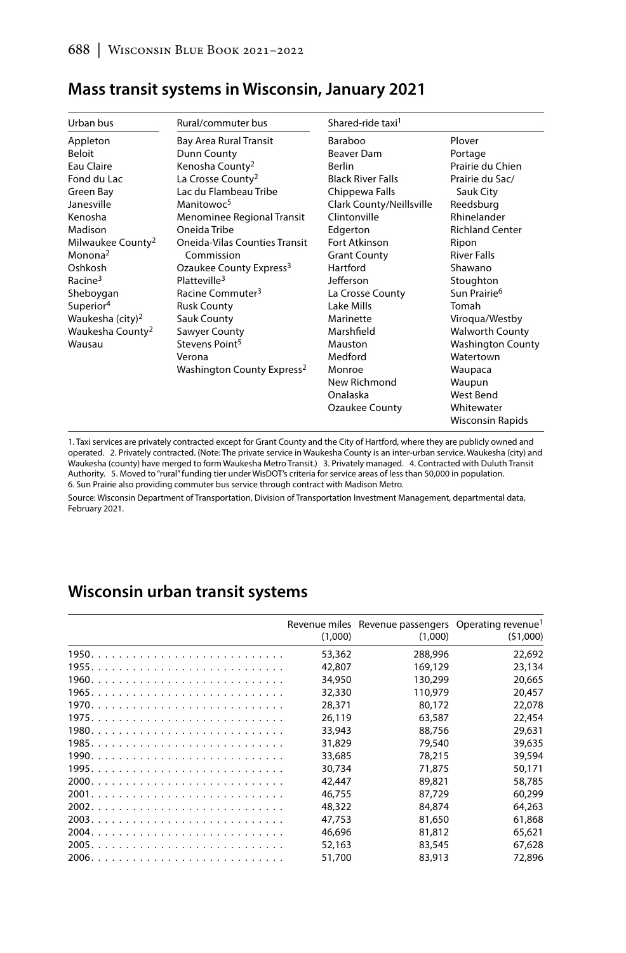| Urban bus                     | Rural/commuter bus                     | Shared-ride taxi <sup>1</sup> |                          |
|-------------------------------|----------------------------------------|-------------------------------|--------------------------|
| Appleton                      | Bay Area Rural Transit                 | Baraboo                       | Plover                   |
| Beloit                        | Dunn County                            | Beaver Dam                    | Portage                  |
| Eau Claire                    | Kenosha County <sup>2</sup>            | <b>Berlin</b>                 | Prairie du Chien         |
| Fond du Lac                   | La Crosse County <sup>2</sup>          | <b>Black River Falls</b>      | Prairie du Sac/          |
| Green Bay                     | Lac du Flambeau Tribe                  | Chippewa Falls                | Sauk City                |
| Janesville                    | Manitowoc <sup>5</sup>                 | Clark County/Neillsville      | Reedsburg                |
| Kenosha                       | Menominee Regional Transit             | Clintonville                  | Rhinelander              |
| Madison                       | Oneida Tribe                           | Edgerton                      | <b>Richland Center</b>   |
| Milwaukee County <sup>2</sup> | <b>Oneida-Vilas Counties Transit</b>   | Fort Atkinson                 | Ripon                    |
| Monona <sup>2</sup>           | Commission                             | <b>Grant County</b>           | <b>River Falls</b>       |
| Oshkosh                       | Ozaukee County Express <sup>3</sup>    | Hartford                      | Shawano                  |
| Racine <sup>3</sup>           | Platteville <sup>3</sup>               | Jefferson                     | Stoughton                |
| Sheboygan                     | Racine Commuter <sup>3</sup>           | La Crosse County              | Sun Prairie <sup>6</sup> |
| Superior <sup>4</sup>         | <b>Rusk County</b>                     | Lake Mills                    | Tomah                    |
| Waukesha (city) <sup>2</sup>  | Sauk County                            | Marinette                     | Viroqua/Westby           |
| Waukesha County <sup>2</sup>  | Sawyer County                          | Marshfield                    | <b>Walworth County</b>   |
| Wausau                        | Stevens Point <sup>5</sup>             | Mauston                       | <b>Washington County</b> |
|                               | Verona                                 | Medford                       | Watertown                |
|                               | Washington County Express <sup>2</sup> | Monroe                        | Waupaca                  |
|                               |                                        | New Richmond                  | Waupun                   |
|                               |                                        | Onalaska                      | West Bend                |
|                               |                                        | <b>Ozaukee County</b>         | Whitewater               |
|                               |                                        |                               | <b>Wisconsin Rapids</b>  |

#### Mass transit systems in Wisconsin, January 2021

1. Taxi services are privately contracted except for Grant County and the City of Hartford, where they are publicly owned and operated. 2. Privately contracted. (Note: The private service in Waukesha County is an inter-urban service. Waukesha (city) and Waukesha (county) have merged to form Waukesha Metro Transit.) 3. Privately managed. 4. Contracted with Duluth Transit Authority. 5. Moved to "rural" funding tier under WisDOT's criteria for service areas of less than 50,000 in population. 6. Sun Prairie also providing commuter bus service through contract with Madison Metro.

Source: Wisconsin Department of Transportation, Division of Transportation Investment Management, departmental data, February 2021.

### Wisconsin urban transit systems

| (1,000) | Revenue miles Revenue passengers Operating revenue <sup>1</sup><br>(1,000) | (51,000) |
|---------|----------------------------------------------------------------------------|----------|
| 53,362  | 288,996                                                                    | 22.692   |
| 42.807  | 169,129                                                                    | 23.134   |
| 34,950  | 130,299                                                                    | 20,665   |
| 32,330  | 110.979                                                                    | 20.457   |
| 28.371  | 80.172                                                                     | 22.078   |
| 26.119  | 63.587                                                                     | 22,454   |
| 33.943  | 88.756                                                                     | 29.631   |
| 31,829  | 79,540                                                                     | 39,635   |
| 33.685  | 78,215                                                                     | 39,594   |
| 30,734  | 71.875                                                                     | 50.171   |
| 42,447  | 89,821                                                                     | 58,785   |
| 46.755  | 87.729                                                                     | 60.299   |
| 48,322  | 84.874                                                                     | 64,263   |
| 47.753  | 81.650                                                                     | 61.868   |
| 46.696  | 81,812                                                                     | 65.621   |
| 52,163  | 83,545                                                                     | 67,628   |
| 51,700  | 83,913                                                                     | 72,896   |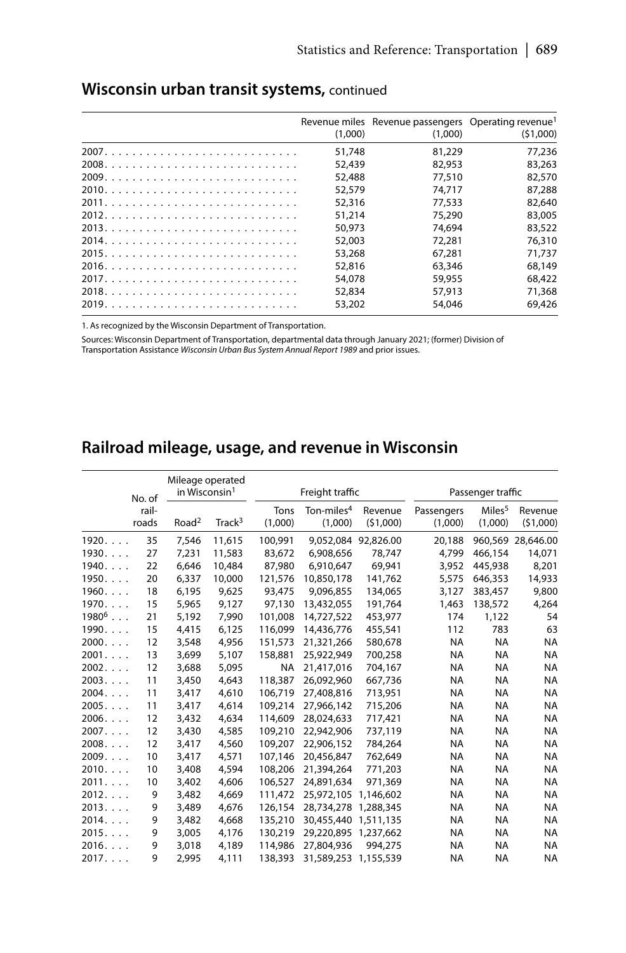| (1.000) | Revenue miles Revenue passengers Operating revenue <sup>1</sup><br>(1.000) | (51,000) |
|---------|----------------------------------------------------------------------------|----------|
| 51,748  | 81,229                                                                     | 77.236   |
| 52,439  | 82,953                                                                     | 83,263   |
| 52,488  | 77,510                                                                     | 82,570   |
| 52,579  | 74,717                                                                     | 87,288   |
| 52,316  | 77.533                                                                     | 82,640   |
| 51,214  | 75,290                                                                     | 83,005   |
| 50,973  | 74.694                                                                     | 83,522   |
| 52,003  | 72,281                                                                     | 76,310   |
| 53,268  | 67.281                                                                     | 71,737   |
| 52,816  | 63,346                                                                     | 68,149   |
| 54.078  | 59,955                                                                     | 68,422   |
| 52,834  | 57,913                                                                     | 71,368   |
| 53,202  | 54.046                                                                     | 69,426   |

### Wisconsin urban transit systems, continued

1. As recognized by the Wisconsin Department of Transportation.

Sources: Wisconsin Department of Transportation, departmental data through January 2021; (former) Division of Transportation Assistance Wisconsin Urban Bus System Annual Report 1989 and prior issues.

# Railroad mileage, usage, and revenue in Wisconsin

|                | No. of | Mileage operated<br>in Wisconsin <sup>1</sup> |                    |           | Freight traffic        |                     |            | Passenger traffic  |                   |  |  |
|----------------|--------|-----------------------------------------------|--------------------|-----------|------------------------|---------------------|------------|--------------------|-------------------|--|--|
|                | rail-  |                                               |                    | Tons      | Ton-miles <sup>4</sup> | Revenue             | Passengers | Miles <sup>5</sup> | Revenue           |  |  |
|                | roads  | Road <sup>2</sup>                             | Track <sup>3</sup> | (1,000)   | (1,000)                | (51,000)            | (1,000)    | (1,000)            | (51,000)          |  |  |
| 1920.          | 35     | 7,546                                         | 11,615             | 100.991   |                        | 9.052.084 92.826.00 | 20.188     |                    | 960.569 28.646.00 |  |  |
| 1930           | 27     | 7,231                                         | 11,583             | 83.672    | 6.908.656              | 78,747              | 4.799      | 466.154            | 14,071            |  |  |
| 1940           | 22     | 6,646                                         | 10,484             | 87,980    | 6,910,647              | 69,941              | 3,952      | 445,938            | 8,201             |  |  |
| 1950           | 20     | 6,337                                         | 10,000             | 121,576   | 10,850,178             | 141,762             | 5,575      | 646,353            | 14,933            |  |  |
| 1960           | 18     | 6,195                                         | 9,625              | 93,475    | 9,096,855              | 134,065             | 3,127      | 383,457            | 9,800             |  |  |
| 1970           | 15     | 5,965                                         | 9,127              | 97,130    | 13,432,055             | 191,764             | 1,463      | 138,572            | 4,264             |  |  |
| $1980^6$       | 21     | 5,192                                         | 7,990              | 101,008   | 14,727,522             | 453,977             | 174        | 1,122              | 54                |  |  |
| 1990           | 15     | 4,415                                         | 6,125              | 116.099   | 14,436,776             | 455,541             | 112        | 783                | 63                |  |  |
| 2000           | 12     | 3,548                                         | 4,956              | 151,573   | 21,321,266             | 580,678             | <b>NA</b>  | <b>NA</b>          | <b>NA</b>         |  |  |
| 2001           | 13     | 3,699                                         | 5,107              | 158,881   | 25,922,949             | 700,258             | <b>NA</b>  | <b>NA</b>          | <b>NA</b>         |  |  |
| 2002           | 12     | 3,688                                         | 5,095              | <b>NA</b> | 21.417.016             | 704.167             | <b>NA</b>  | <b>NA</b>          | <b>NA</b>         |  |  |
| 2003           | 11     | 3,450                                         | 4,643              | 118,387   | 26.092.960             | 667,736             | <b>NA</b>  | <b>NA</b>          | <b>NA</b>         |  |  |
| 2004.          | 11     | 3,417                                         | 4,610              | 106.719   | 27.408.816             | 713.951             | NA         | <b>NA</b>          | <b>NA</b>         |  |  |
| 2005           | 11     | 3,417                                         | 4,614              | 109.214   | 27.966.142             | 715,206             | <b>NA</b>  | <b>NA</b>          | <b>NA</b>         |  |  |
| $2006. \ldots$ | 12     | 3,432                                         | 4,634              | 114,609   | 28.024.633             | 717,421             | <b>NA</b>  | <b>NA</b>          | <b>NA</b>         |  |  |
| $2007. \ldots$ | 12     | 3,430                                         | 4,585              | 109,210   | 22.942.906             | 737.119             | NA         | <b>NA</b>          | <b>NA</b>         |  |  |
| 2008.          | 12     | 3,417                                         | 4,560              | 109,207   | 22.906.152             | 784,264             | NA         | <b>NA</b>          | <b>NA</b>         |  |  |
| 2009.          | 10     | 3,417                                         | 4,571              | 107.146   | 20.456.847             | 762,649             | NA         | <b>NA</b>          | <b>NA</b>         |  |  |
| 2010           | 10     | 3,408                                         | 4,594              | 108,206   | 21,394,264             | 771,203             | <b>NA</b>  | <b>NA</b>          | <b>NA</b>         |  |  |
| 2011           | 10     | 3,402                                         | 4,606              | 106,527   | 24,891,634             | 971,369             | NA         | <b>NA</b>          | <b>NA</b>         |  |  |
| 2012.          | 9      | 3,482                                         | 4,669              | 111.472   | 25,972,105             | 1.146.602           | <b>NA</b>  | <b>NA</b>          | <b>NA</b>         |  |  |
| 2013           | 9      | 3,489                                         | 4,676              | 126.154   | 28,734,278             | 1,288,345           | NA         | <b>NA</b>          | <b>NA</b>         |  |  |
| 2014.          | 9      | 3,482                                         | 4,668              | 135,210   | 30,455,440             | 1,511,135           | <b>NA</b>  | <b>NA</b>          | <b>NA</b>         |  |  |
| 2015           | 9      | 3,005                                         | 4,176              | 130,219   | 29,220,895 1,237,662   |                     | <b>NA</b>  | <b>NA</b>          | <b>NA</b>         |  |  |
| 2016.          | 9      | 3,018                                         | 4,189              | 114,986   | 27,804,936             | 994,275             | NA         | <b>NA</b>          | <b>NA</b>         |  |  |
| $2017. \ldots$ | 9      | 2.995                                         | 4,111              | 138,393   | 31,589,253 1,155,539   |                     | <b>NA</b>  | <b>NA</b>          | <b>NA</b>         |  |  |